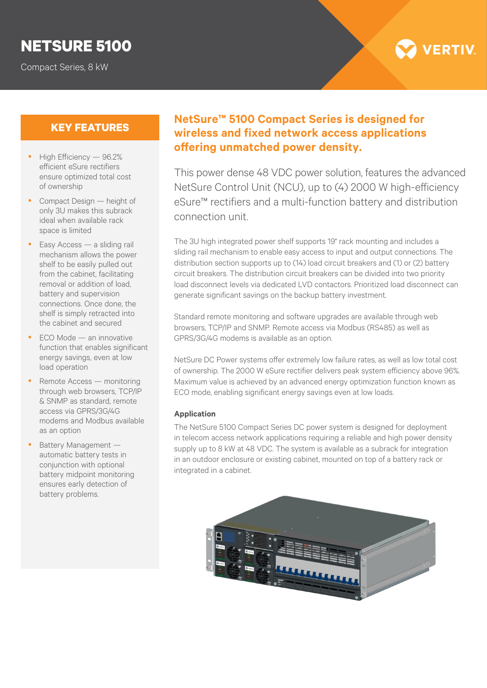# **NETSURE 5100**

Compact Series, 8 kW



- $\bullet$  High Efficiency  $-96.2\%$ efficient eSure rectifiers ensure optimized total cost of ownership
- Compact Design height of only 3U makes this subrack ideal when available rack space is limited
- Easy Access a sliding rail mechanism allows the power shelf to be easily pulled out from the cabinet, facilitating removal or addition of load, battery and supervision connections. Once done, the shelf is simply retracted into the cabinet and secured
- y ECO Mode an innovative function that enables significant energy savings, even at low load operation
- $\bullet$  Remote Access monitoring through web browsers, TCP/IP & SNMP as standard, remote access via GPRS/3G/4G modems and Modbus available as an option
- Battery Management automatic battery tests in conjunction with optional battery midpoint monitoring ensures early detection of battery problems.

# **KEY FEATURES NetSure™ 5100 Compact Series is designed for wireless and fixed network access applications offering unmatched power density.**

This power dense 48 VDC power solution, features the advanced NetSure Control Unit (NCU), up to (4) 2000 W high-efficiency eSure™ rectifiers and a multi-function battery and distribution connection unit.

The 3U high integrated power shelf supports 19" rack mounting and includes a sliding rail mechanism to enable easy access to input and output connections. The distribution section supports up to (14) load circuit breakers and (1) or (2) battery circuit breakers. The distribution circuit breakers can be divided into two priority load disconnect levels via dedicated LVD contactors. Prioritized load disconnect can generate significant savings on the backup battery investment.

Standard remote monitoring and software upgrades are available through web browsers, TCP/IP and SNMP. Remote access via Modbus (RS485) as well as GPRS/3G/4G modems is available as an option.

NetSure DC Power systems offer extremely low failure rates, as well as low total cost of ownership. The 2000 W eSure rectifier delivers peak system efficiency above 96%. Maximum value is achieved by an advanced energy optimization function known as ECO mode, enabling significant energy savings even at low loads.

#### **Application**

The NetSure 5100 Compact Series DC power system is designed for deployment in telecom access network applications requiring a reliable and high power density supply up to 8 kW at 48 VDC. The system is available as a subrack for integration in an outdoor enclosure or existing cabinet, mounted on top of a battery rack or integrated in a cabinet.